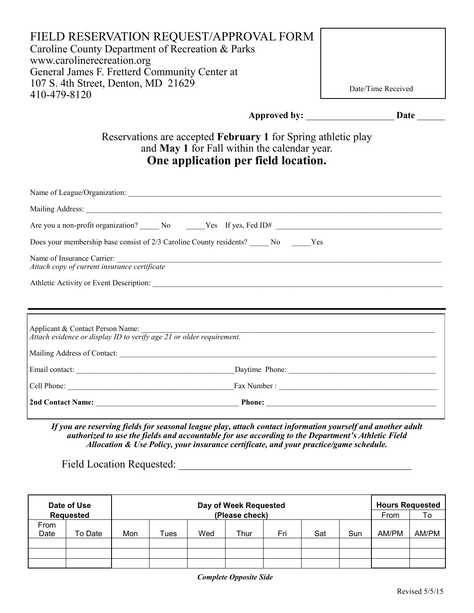| FIELD RESERVATION REQUEST/APPROVAL FORM<br>Caroline County Department of Recreation & Parks<br>www.carolinerecreation.org<br>General James F. Fretterd Community Center at<br>107 S. 4th Street, Denton, MD 21629<br>410-479-8120 | Date/Time Received                                                                                                    |
|-----------------------------------------------------------------------------------------------------------------------------------------------------------------------------------------------------------------------------------|-----------------------------------------------------------------------------------------------------------------------|
|                                                                                                                                                                                                                                   |                                                                                                                       |
| Reservations are accepted February 1 for Spring athletic play<br>and May 1 for Fall within the calendar year.<br>One application per field location.                                                                              |                                                                                                                       |
|                                                                                                                                                                                                                                   |                                                                                                                       |
|                                                                                                                                                                                                                                   |                                                                                                                       |
|                                                                                                                                                                                                                                   |                                                                                                                       |
| Does your membership base consist of 2/3 Caroline County residents? ______ No _______ Yes                                                                                                                                         |                                                                                                                       |
| Name of Insurance Carrier:<br>Attach copy of current insurance certificate                                                                                                                                                        |                                                                                                                       |
|                                                                                                                                                                                                                                   |                                                                                                                       |
| Applicant & Contact Person Name:<br>Attach evidence or display ID to verify age 21 or older requirement.                                                                                                                          | <u> 1989 - Johann Harry Harry Harry Harry Harry Harry Harry Harry Harry Harry Harry Harry Harry Harry Harry Harry</u> |
|                                                                                                                                                                                                                                   |                                                                                                                       |
|                                                                                                                                                                                                                                   |                                                                                                                       |
|                                                                                                                                                                                                                                   |                                                                                                                       |
| 2nd Contact Name: Phone: Phone: Phone: 2014                                                                                                                                                                                       |                                                                                                                       |

*If you are reserving fields for seasonal league play, attach contact information yourself and another adult authorized to use the fields and accountable for use according to the Department's Athletic Field Allocation & Use Policy, your insurance certificate, and your practice/game schedule.*

Field Location Requested: \_\_\_\_\_\_\_\_\_\_\_\_\_\_\_\_\_\_\_\_\_\_\_\_\_\_\_\_\_\_\_\_\_\_\_\_\_\_\_\_\_\_\_

|              | Date of Use<br>Requested | Day of Week Requested<br>(Please check) |      |     |      |     | <b>Hours Requested</b><br>From | To  |       |       |
|--------------|--------------------------|-----------------------------------------|------|-----|------|-----|--------------------------------|-----|-------|-------|
| From<br>Date | To Date                  | Mon                                     | Tues | Wed | Thur | Fri | Sat                            | Sun | AM/PM | AM/PM |
|              |                          |                                         |      |     |      |     |                                |     |       |       |